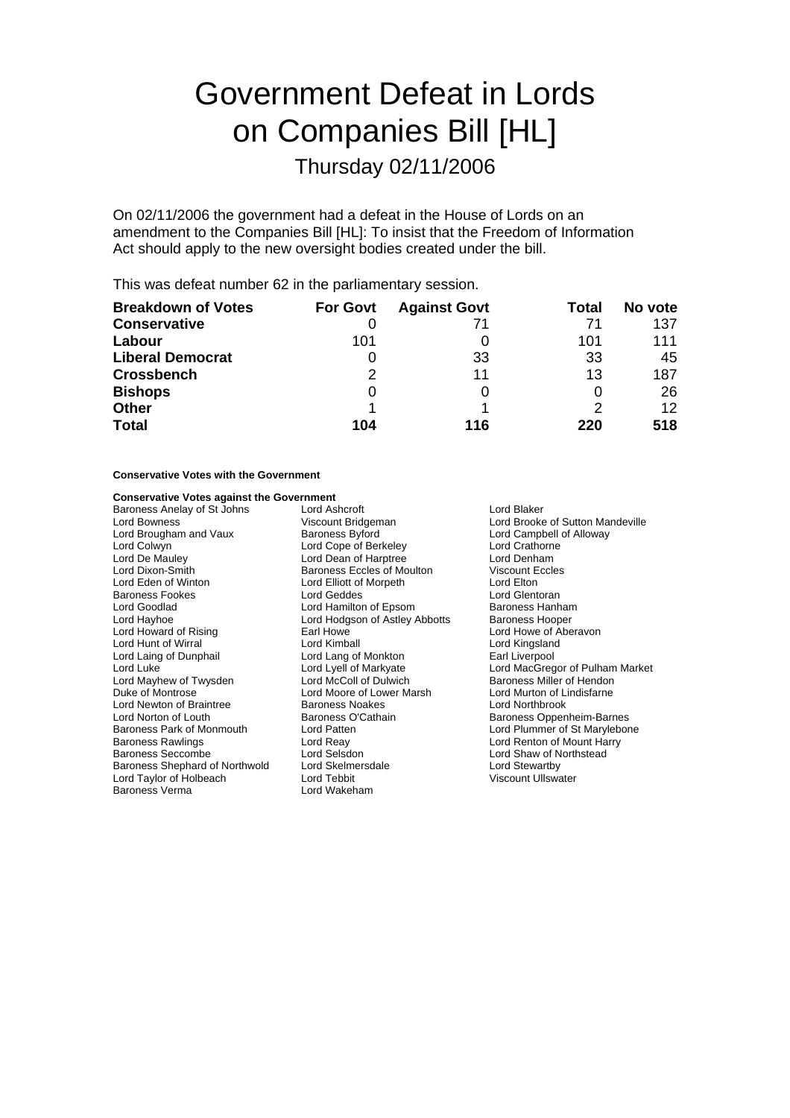# Government Defeat in Lords on Companies Bill [HL]

Thursday 02/11/2006

On 02/11/2006 the government had a defeat in the House of Lords on an amendment to the Companies Bill [HL]: To insist that the Freedom of Information Act should apply to the new oversight bodies created under the bill.

This was defeat number 62 in the parliamentary session.

| <b>Breakdown of Votes</b> | <b>For Govt</b> | <b>Against Govt</b> | Total | No vote         |
|---------------------------|-----------------|---------------------|-------|-----------------|
| <b>Conservative</b>       |                 | 71                  |       | 137             |
| Labour                    | 101             |                     | 101   | 111             |
| <b>Liberal Democrat</b>   | O               | 33                  | 33    | 45              |
| <b>Crossbench</b>         | 2               | 11                  | 13    | 187             |
| <b>Bishops</b>            | 0               |                     | O     | 26              |
| <b>Other</b>              |                 |                     |       | 12 <sup>°</sup> |
| <b>Total</b>              | 104             | 116                 | 220   | 518             |

## **Conservative Votes with the Government**

### **Conservative Votes against the Government**

Baroness Anelay of St Johns Lord Ashcroft **Ashcroft** Lord Blaker<br>
Lord Bowness **Acceleration Lord Brooker Corporation** Lord Brooker Lord Bowness<br>
Lord Brooke of Sutton Mandeville<br>
Lord Brougham and Vaux Baroness Byford<br>
Baroness Byford<br>
Lord Campbell of Alloway Lord Brougham and Vaux Baroness Byford Brougham and Vaux Baroness Byford Campbell<br>
Lord Colwyn Cord Cope of Berkeley Lord Crathorne Lord Colwyn Lord Cope of Berkeley Cord Crathorne<br>
Lord De Mauley Lord Cope of Harptree Cord Denham<br>
Lord De Mauley Cord Crathorne Lord Dean of Harptree Lord Dixon-Smith **Baroness Eccles of Moulton** Viscount Eccles<br>
Lord Eden of Winton **Baroness Eccles of Moulton** Lord Elton Lord Eden of Winton Lord Elliott of Morpeth Lord Elton Baroness Fookes **Lord Geodes** Lord Geddes Lord Gentoran<br>
Lord Goodlad **Lord Hamilton of Epsom** Baroness Hanham Lord Goodlad **Lord Hamilton of Epsom** Baroness Hanhan<br>Lord Hayhoe **Baroness Hooper** Lord Hodgson of Astley Abbotts Baroness Hooper Lord Hodgson of Astley Abbotts<br>Farl Howe Lord Howard of Rising **Earl Howe Carl Howe Lord Howe Cord Howe of Aberavon**<br>
Lord Hunt of Wirral **Cord King Lord King Aberavon**<br>
Lord Kingsland Lord Hunt of Wirral **Lord Kimball**<br>
Lord Laing of Dunphail **Lord Lang of Monkton** Lord Laing of Dunphail Lord Lang of Monkton Earl Liverpool Lord Luke Lord Lyell of Markyate Lord MacGregor of Pulham Market Lord Mayhew of Twysden Lord McColl of Dulwich Baroness Miller of Hendon<br>Duke of Montrose Lord Moore of Lower Marsh Lord Murton of Lindisfarne Lord Moore of Lower Marsh **Example 20 Lord Murton of Lindisfarm**<br>Baroness Noakes **ending the Lord Northbrook** Lord Newton of Braintree Baroness Noakes<br>Lord Norton of Louth<br>Baroness O'Cathain **Baroness O'Cathain**<br>
Lord Patten<br>
Lord Plummer of St Marylebon Baroness Park of Monmouth Lord Patten **Loman Communist Communist Communist Communist Communist Communist Communist**<br>
Lord Realty Lord Realty Lord Pearl Lord Renton of Mount Harry Baroness Rawlings **Example 2 Example 2 Lord Reay Lord Renton of Mount Harry**<br>Baroness Seccombe **Lord Selsdon Lord Selsdon Lord Shaw of Northstead** Baroness Shephard of Northwold Lord Skelmersdale Lord Taylor Cord Stewartby<br>
Lord Taylor of Holbeach Lord Tebbit Cord Tebbit Ciscount Ullswater Lord Taylor of Holbeach and Lord Tebbit<br>Baroness Verma **International Lord Wakeham** Baroness Verma

Lord Shaw of Northstead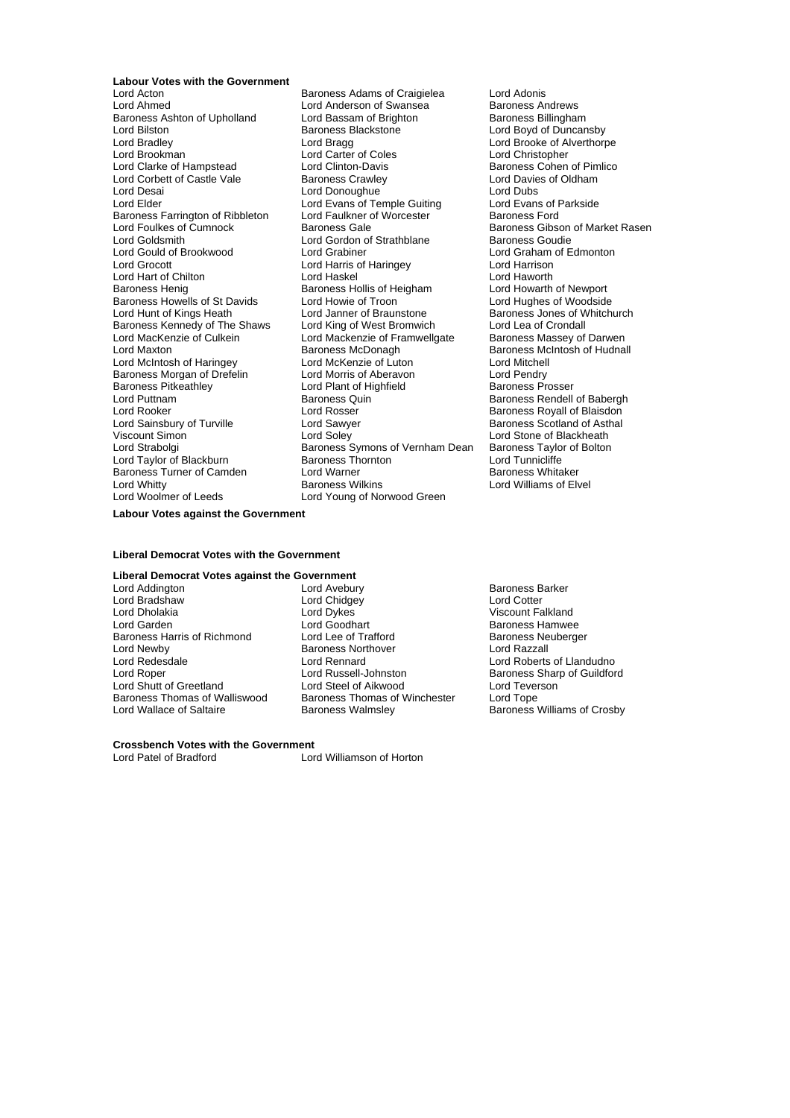**Labour Votes with the Government**<br>**Lord Acton** 

Baroness Ashton of Upholland Lord Bassam of Brighton Baroness Blackstone Lord Brookman Lord Carter of Coles<br>
Lord Clarke of Hampstead Lord Clinton-Davis Baroness Farrington of Ribbleton Lord Faulkner c<br>Lord Foulkes of Cumnock Baroness Gale Baroness Howells of St Davids<br>
Lord Howie of Troon<br>
Lord Hunt of Kings Heath Lord Janner of Braunstone Baroness Kennedy of The Shaws Baroness Pitkeathley **Lord Plant of Highfield Lord Plant of Highfield**<br>
Lord Puttnam<br>
Baroness Quin Baroness Turner of Camden Lord Warner<br>
Lord Whitty Camer Baroness Wilkins Lord Woolmer of Leeds Lord Young of Norwood Green

Lord Acton **Communist Communist Baroness Adams of Craigielea** Lord Adonis<br>
Lord Ahmed **Communist Communist Communist Communist Communist Communist Communist Communist Communist Communist**<br>
Lord Ahmed Communist Communist Co Lord Anderson of Swansea **Baroness Andrews**<br>Lord Bassam of Brighton **Baroness Baroness Billingham** Lord Bilston **Exercise State Baroness Blackstone Lord Boyd of Duncansby**<br>Cord Bradlev **Lord Bragg** Lord Bragg **Cord Bragg** Lord Brooke of Alverthorp Lord Bradley Lord Bragg Lord Brooke of Alverthorpe Lord Clinton-Davis<br>
Baroness Crawley<br>
Lord Davies of Oldham Lord Corbett of Castle Vale Baroness Crawley<br>
Lord Desain Lord Davies Crawley<br>
Lord Desain Lord Dubs Lord Donoughue<br>
Lord Evans of Temple Guiting Lord Evans of Parkside Lord Elder Lord Evans of Temple Guiting Lord Evans of Independent Cord Evans of I<br>Baroness Farrington of Ribbleton Lord Faulkner of Worcester Baroness Ford Lord Foulkes of Cumnock **Baroness Gale** Baroness Gale Baroness Gibson of Market Rasen<br>
Baroness Goudie **Baroness Coudie**<br>
Baroness Goudie Lord Gordon of Strathblane Baroness Goudie<br>
Lord Grahiner Lord Graham of Edmonton Lord Gould of Brookwood Lord Grabiner Lord Graham (Lord Graham Cord Graham of Harrison Lord Graham Cord Edmonton Lord Harrison Lord Harrison Lord Grocott Lord Harris of Haringey Lord Harrison Lord Hart of Chilton **Lord Haskel** Lord Haskel Lord Havorth Lord Haworth Cord Haskel Lord Havorth Lord Haworth Baroness Hollis of Heigham Lord Howarth of Newport Baroness Hollis of Heigham Lord Howarth of Newport<br>
Lord Howie of Troon Lord Hughes of Woodside Lord Janner of Braunstone<br>
Lord King of West Bromwich<br>
Lord Lea of Crondall Lord MacKenzie of Culkein Lord Mackenzie of Framwellgate Baroness Massey of Darwen<br>Lord Maxton Culkein Baroness McDonagh Baroness McDarwen Baroness McIntosh of Hudna Baroness McDonagh Baroness McIntosh of Hudnall<br>
Lord McKenzie of Luton<br>
Lord Mitchell Lord McIntosh of Haringey Lord McKenzie of Luton Lord Mitchell Baroness Morgan of Drefelin Lord Morris of Aberavon<br>Baroness Morgan of Drefelin Lord Plant of Highfield Baroness Prosser Lord Puttnam **Baroness Quin** Baroness Rendell of Babergh<br>
Lord Rosser **Baroness Rendell of Babergh**<br>
Baroness Royall of Blaisdon Lord Rooker **Lord Rosser** Communications are the Baroness Royall of Blaisdon<br>
Lord Sainsbury of Turville **Baroness Lord Sawyer Baroness Scotland of Asthal** Lord Sainsbury of Turville **Lord Sawyer** Corress Scotland of Asthal<br>
Lord Sawyer Corress Scotland of Asthal<br>
Lord Stone of Blackheath Viscount Simon **Nation 2018** Lord Soley **Lord Stone of Blackheath**<br>
Lord Strabolgi **National Structure Control Control Control Control Control Control Blackheath**<br>
Lord Strabolgi **Control Control Control Control Control Co** Baroness Symons of Vernham Dean Baroness Taylor<br>Baroness Thornton **Bolton** Lord Tunnicliffe Lord Taylor of Blackburn Baroness Thornton Lord Tunnicliffe

Lord Williams of Elvel

**Labour Votes against the Government**

#### **Liberal Democrat Votes with the Government**

# **Liberal Democrat Votes against the Government**<br>*L***ord Addington <b>Right R**

Lord Bradshaw Lord Chidge<br>1999 Lord Dholakia Nord Cord Cotter<br>2009 Lord Dykes Lord Newby Baroness Northover<br>
Lord Redesdale<br>
Lord Rennard

Lord Avebury **Baroness Barker**<br>
Lord Chidgey **Baroness Barker**<br>
Lord Cotter Lord Garden Lord Goodhart Communist Carden Baroness Hamwee<br>
Baroness Harris of Richmond Lord Lee of Trafford Baroness Neuberger Baroness Harris of Richmond Lord Lee of Trafford Baroness Neuberger and Baroness Neubergers Reports Neuberger<br>
Lord Newby Baroness Northover Lord Razzall Lord Redesdale Lord Rennard Lord Rennard Lord Roberts of Llandudno<br>
Lord Roberts of Llandudno<br>
Lord Robert Lord Russell-Johnston Baroness Sharp of Guildfor Lord Russell-Johnston Baroness Sharp of Guildford<br>
Lord Steel of Aikwood Lord Teverson Lord Shutt of Greetland Lord Steel of Aikwood Lord Tever<br>Baroness Thomas of Walliswood Baroness Thomas of Winchester Lord Tope Baroness Thomas of Walliswood Baroness Thomas of Winchester<br>Lord Wallace of Saltaire Baroness Walmsley

Viscount Falkland Baroness Williams of Crosby

# **Crossbench Votes with the Government**<br>Lord Patel of Bradford **Lord**

Lord Williamson of Horton